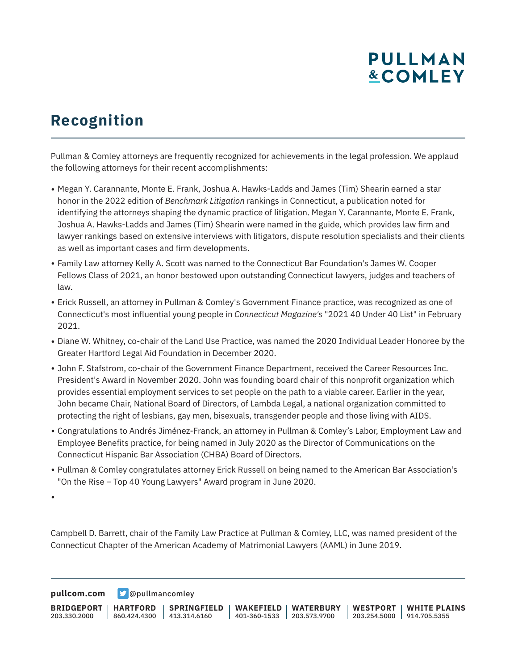# **PULLMAN &COMLEY**

## **Recognition**

Pullman & Comley attorneys are frequently recognized for achievements in the legal profession. We applaud the following attorneys for their recent accomplishments:

- Megan Y. Carannante, Monte E. Frank, Joshua A. Hawks-Ladds and James (Tim) Shearin earned a star honor in the 2022 edition of *Benchmark Litigation* rankings in Connecticut, a publication noted for identifying the attorneys shaping the dynamic practice of litigation. Megan Y. Carannante, Monte E. Frank, Joshua A. Hawks-Ladds and James (Tim) Shearin were named in the guide, which provides law firm and lawyer rankings based on extensive interviews with litigators, dispute resolution specialists and their clients as well as important cases and firm developments.
- Family Law attorney Kelly A. Scott was named to the Connecticut Bar Foundation's James W. Cooper Fellows Class of 2021, an honor bestowed upon outstanding Connecticut lawyers, judges and teachers of law.
- Erick Russell, an attorney in Pullman & Comley's Government Finance practice, was recognized as one of Connecticut's most influential young people in *Connecticut Magazine's* "2021 40 Under 40 List" in February 2021.
- Diane W. Whitney, co-chair of the Land Use Practice, was named the 2020 Individual Leader Honoree by the Greater Hartford Legal Aid Foundation in December 2020.
- John F. Stafstrom, co-chair of the Government Finance Department, received the Career Resources Inc. President's Award in November 2020. John was founding board chair of this nonprofit organization which provides essential employment services to set people on the path to a viable career. Earlier in the year, John became Chair, National Board of Directors, of Lambda Legal, a national organization committed to protecting the right of lesbians, gay men, bisexuals, transgender people and those living with AIDS.
- Congratulations to Andrés Jiménez-Franck, an attorney in Pullman & Comley's Labor, Employment Law and Employee Benefits practice, for being named in July 2020 as the Director of Communications on the Connecticut Hispanic Bar Association (CHBA) Board of Directors.
- Pullman & Comley congratulates attorney Erick Russell on being named to the American Bar Association's "On the Rise – Top 40 Young Lawyers" Award program in June 2020.

●

Campbell D. Barrett, chair of the Family Law Practice at Pullman & Comley, LLC, was named president of the Connecticut Chapter of the American Academy of Matrimonial Lawyers (AAML) in June 2019.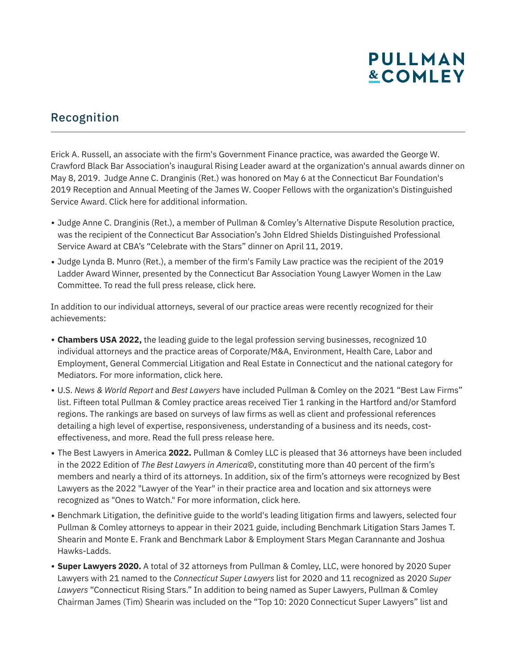# **PULLMAN &COMLEY**

#### Recognition

Erick A. Russell, an associate with the firm's Government Finance practice, was awarded the George W. Crawford Black Bar Association's inaugural Rising Leader award at the organization's annual awards dinner on May 8, 2019. Judge Anne C. Dranginis (Ret.) was honored on May 6 at the Connecticut Bar Foundation's 2019 Reception and Annual Meeting of the James W. Cooper Fellows with the organization's Distinguished Service Award. Click here for additional information.

- Judge Anne C. Dranginis (Ret.), a member of Pullman & Comley's Alternative Dispute Resolution practice, was the recipient of the Connecticut Bar Association's John Eldred Shields Distinguished Professional Service Award at CBA's "Celebrate with the Stars" dinner on April 11, 2019.
- Judge Lynda B. Munro (Ret.), a member of the firm's Family Law practice was the recipient of the 2019 Ladder Award Winner, presented by the Connecticut Bar Association Young Lawyer Women in the Law Committee. To read the full press release, click here.

In addition to our individual attorneys, several of our practice areas were recently recognized for their achievements:

- **Chambers USA 2022,** the leading guide to the legal profession serving businesses, recognized 10 individual attorneys and the practice areas of Corporate/M&A, Environment, Health Care, Labor and Employment, General Commercial Litigation and Real Estate in Connecticut and the national category for Mediators. For more information, click here.
- U.S. *News & World Report* and *Best Lawyers* have included Pullman & Comley on the 2021 "Best Law Firms" list. Fifteen total Pullman & Comley practice areas received Tier 1 ranking in the Hartford and/or Stamford regions. The rankings are based on surveys of law firms as well as client and professional references detailing a high level of expertise, responsiveness, understanding of a business and its needs, costeffectiveness, and more. Read the full press release here.
- The Best Lawyers in America **2022.** Pullman & Comley LLC is pleased that 36 attorneys have been included in the 2022 Edition of *The Best Lawyers in America*©, constituting more than 40 percent of the firm's members and nearly a third of its attorneys. In addition, six of the firm's attorneys were recognized by Best Lawyers as the 2022 "Lawyer of the Year" in their practice area and location and six attorneys were recognized as "Ones to Watch." For more information, click here.
- Benchmark Litigation, the definitive guide to the world's leading litigation firms and lawyers, selected four Pullman & Comley attorneys to appear in their 2021 guide, including Benchmark Litigation Stars James T. Shearin and Monte E. Frank and Benchmark Labor & Employment Stars Megan Carannante and Joshua Hawks-Ladds.
- **Super Lawyers 2020.** A total of 32 attorneys from Pullman & Comley, LLC, were honored by 2020 Super Lawyers with 21 named to the *Connecticut Super Lawyers* list for 2020 and 11 recognized as 2020 *Super Lawyers* "Connecticut Rising Stars." In addition to being named as Super Lawyers, Pullman & Comley Chairman James (Tim) Shearin was included on the "Top 10: 2020 Connecticut Super Lawyers" list and